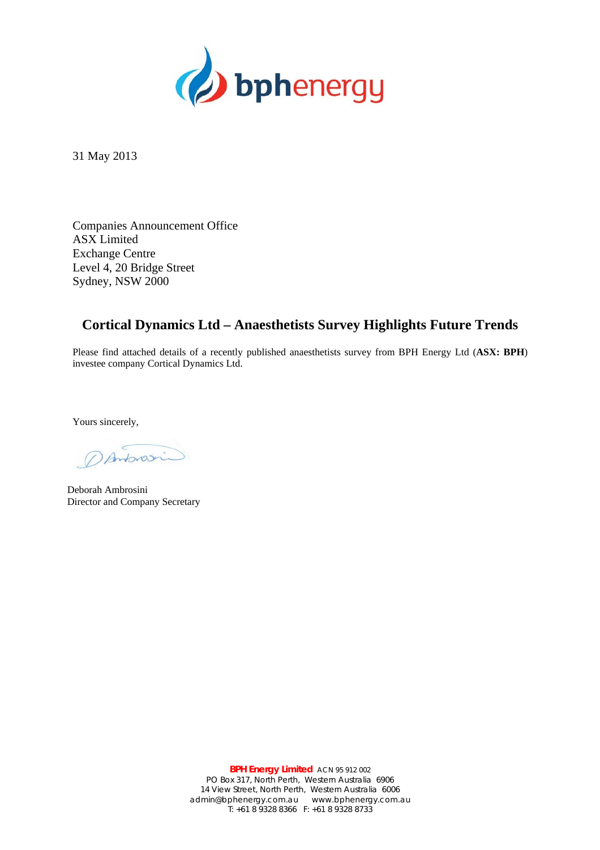

31 May 2013

Companies Announcement Office ASX Limited Exchange Centre Level 4, 20 Bridge Street Sydney, NSW 2000

## **Cortical Dynamics Ltd – Anaesthetists Survey Highlights Future Trends**

Please find attached details of a recently published anaesthetists survey from BPH Energy Ltd (**ASX: BPH**) investee company Cortical Dynamics Ltd.

Yours sincerely,

DAntonsin

Deborah Ambrosini Director and Company Secretary

**BPH Energy Limited** ACN 95 912 002 PO Box 317, North Perth, Western Australia 6906 14 View Street, North Perth, Western Australia 6006 admin@bphenergy.com.au www.bphenergy.com.au T: +61 8 9328 8366 F: +61 8 9328 8733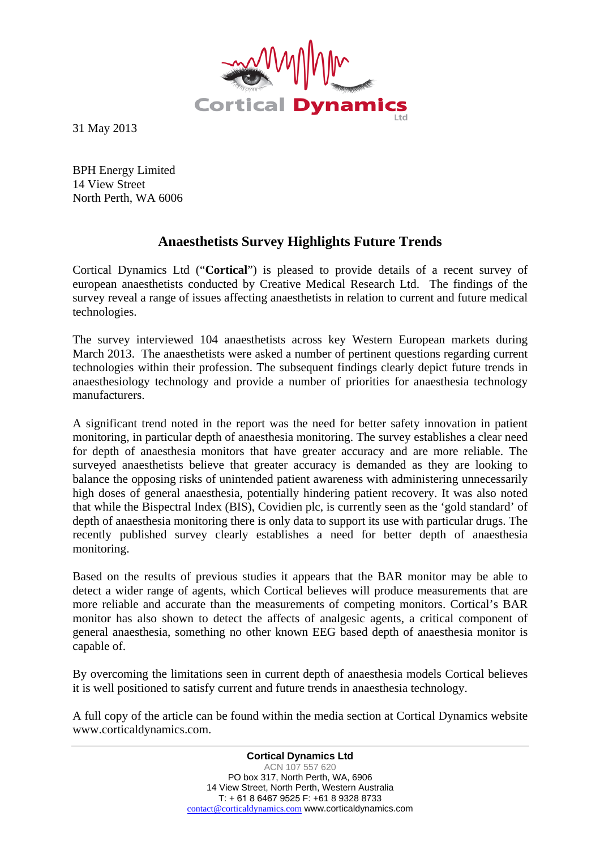

31 May 2013

BPH Energy Limited 14 View Street North Perth, WA 6006

## **Anaesthetists Survey Highlights Future Trends**

Cortical Dynamics Ltd ("**Cortical**") is pleased to provide details of a recent survey of european anaesthetists conducted by Creative Medical Research Ltd. The findings of the survey reveal a range of issues affecting anaesthetists in relation to current and future medical technologies.

The survey interviewed 104 anaesthetists across key Western European markets during March 2013. The anaesthetists were asked a number of pertinent questions regarding current technologies within their profession. The subsequent findings clearly depict future trends in anaesthesiology technology and provide a number of priorities for anaesthesia technology manufacturers.

A significant trend noted in the report was the need for better safety innovation in patient monitoring, in particular depth of anaesthesia monitoring. The survey establishes a clear need for depth of anaesthesia monitors that have greater accuracy and are more reliable. The surveyed anaesthetists believe that greater accuracy is demanded as they are looking to balance the opposing risks of unintended patient awareness with administering unnecessarily high doses of general anaesthesia, potentially hindering patient recovery. It was also noted that while the Bispectral Index (BIS), Covidien plc, is currently seen as the 'gold standard' of depth of anaesthesia monitoring there is only data to support its use with particular drugs. The recently published survey clearly establishes a need for better depth of anaesthesia monitoring.

Based on the results of previous studies it appears that the BAR monitor may be able to detect a wider range of agents, which Cortical believes will produce measurements that are more reliable and accurate than the measurements of competing monitors. Cortical's BAR monitor has also shown to detect the affects of analgesic agents, a critical component of general anaesthesia, something no other known EEG based depth of anaesthesia monitor is capable of.

By overcoming the limitations seen in current depth of anaesthesia models Cortical believes it is well positioned to satisfy current and future trends in anaesthesia technology.

A full copy of the article can be found within the media section at Cortical Dynamics website www.corticaldynamics.com.